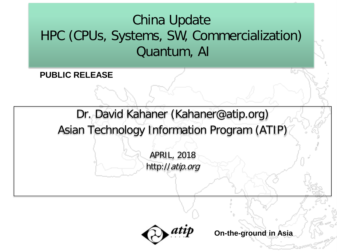## China Update HPC (CPUs, Systems, SW, Commercialization) Quantum, AI

**PUBLIC RELEASE**

Dr. David Kahaner (Kahaner@atip.org)

Asian Technology Information Program (ATIP)

APRIL, 2018 http://atip.org

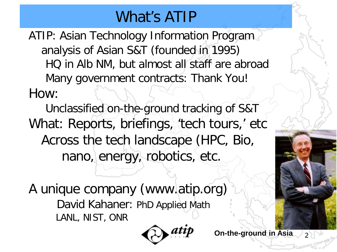## What's ATIP

ATIP: Asian Technology Information Program analysis of Asian S&T (founded in 1995) HQ in Alb NM, but almost all staff are abroad Many government contracts: Thank You! How:

Unclassified on-the-ground tracking of S&T What: Reports, briefings, 'tech tours,' etc Across the tech landscape (HPC, Bio, nano, energy, robotics, etc.

A unique company (www.atip.org) David Kahaner: PhD Applied Math LANL, NIST, ONR

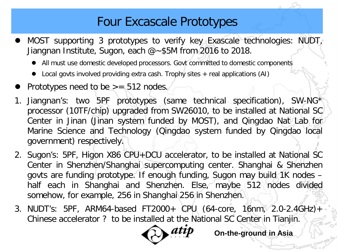### Four Excascale Prototypes

- MOST supporting 3 prototypes to verify key Exascale technologies: NUDT, Jiangnan Institute, Sugon, each  $\omega$  -\$5M from 2016 to 2018.
	- All must use domestic developed processors. Govt committed to domestic components
	- Local govts involved providing extra cash. Trophy sites + real applications (AI)
- Prototypes need to be  $> = 512$  nodes.
- Jiangnan's: two 5PF prototypes (same technical specification), SW-NG\* processor (10TF/chip) upgraded from SW26010, to be installed at National SC Center in Jinan (Jinan system funded by MOST), and Qingdao Nat Lab for Marine Science and Technology (Qingdao system funded by Qingdao local government) respectively.
- 2. Sugon's: 5PF, Higon X86 CPU+DCU accelerator, to be installed at National SC Center in Shenzhen/Shanghai supercomputing center. Shanghai & Shenzhen govts are funding prototype. If enough funding, Sugon may build 1K nodes half each in Shanghai and Shenzhen. Else, maybe 512 nodes divided somehow, for example, 256 in Shanghai 256 in Shenzhen.
- 3. NUDT's: 5PF, ARM64-based FT2000+ CPU (64-core, 16nm, 2.0-2.4GHz)+ Chinese accelerator ? to be installed at the National SC Center in Tianjin.

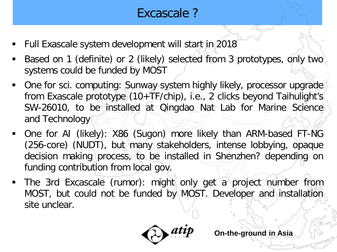## Excascale ?

- Full Exascale system development will start in 2018
- Based on 1 (definite) or 2 (likely) selected from 3 prototypes, only two systems could be funded by MOST
- One for sci. computing: Sunway system highly likely, processor upgrade from Exascale prototype (10+TF/chip), i.e., 2 clicks beyond Taihulight's SW-26010, to be installed at Qingdao Nat Lab for Marine Science and Technology
- One for AI (likely): X86 (Sugon) more likely than ARM-based FT-NG (256-core) (NUDT), but many stakeholders, intense lobbying, opaque decision making process, to be installed in Shenzhen? depending on funding contribution from local gov.
- The 3rd Excascale (rumor): might only get a project number from MOST, but could not be funded by MOST. Developer and installation site unclear.

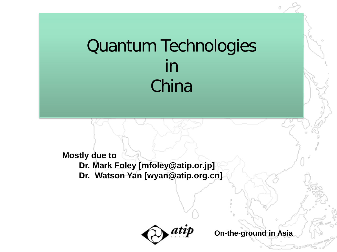# Quantum Technologies in China

**Mostly due to Dr. Mark Foley [mfoley@atip.or.jp] Dr. Watson Yan [wyan@atip.org.cn]**

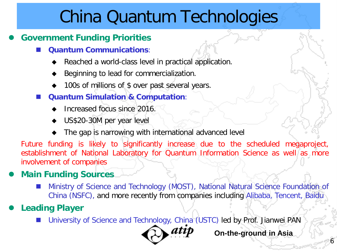## China Quantum Technologies

#### **Government Funding Priorities**

- **Quantum Communications**:
	- Reached a world-class level in practical application.
	- Beginning to lead for commercialization.
	- 100s of millions of \$ over past several years.
- **Quantum Simulation & Computation**:
	- Increased focus since 2016.
	- US\$20-30M per year level
	- The gap is narrowing with international advanced level

Future funding is likely to significantly increase due to the scheduled megaproject, establishment of National Laboratory for Quantum Information Science as well as more involvement of companies

#### **Main Funding Sources**

 Ministry of Science and Technology (MOST), National Natural Science Foundation of China (NSFC), and more recently from companies including Alibaba, Tencent, Baidu

#### **Leading Player**

University of Science and Technology, China (USTC) led by Prof. Jianwei PAN



**On-the-ground in Asia**

6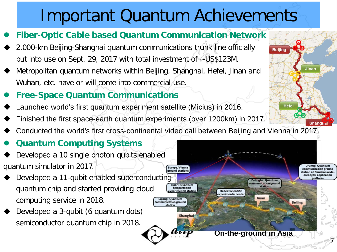# Important Quantum Achievements

- **Fiber-Optic Cable based Quantum Communication Network**
- 2,000-km Beijing-Shanghai quantum communications trunk line officially put into use on Sept. 29, 2017 with total investment of ~US\$123M.
- Metropolitan quantum networks within Beijing, Shanghai, Hefei, Jinan and Wuhan, etc. have or will come into commercial use.
- **Free-Space Quantum Communications**
- Launched world's first quantum experiment satellite (Micius) in 2016.
- Finished the first space-earth quantum experiments (over 1200km) in 2017.
- Conducted the world's first cross-continental video call between Beijing and Vienna in 2017.

#### **Quantum Computing Systems**

- Developed a 10 single photon qubits enabled quantum simulator in 2017.
- Developed a 11-qubit enabled superconducting quantum chip and started providing cloud computing service in 2018.
- Developed a 3-qubit (6 quantum dots) semiconductor quantum chip in 2018.



**Beijing** 

Hefei

Jinan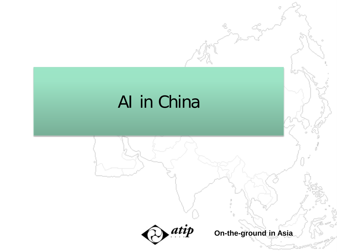# AI in China



**On-the-ground in Asia**

Ū.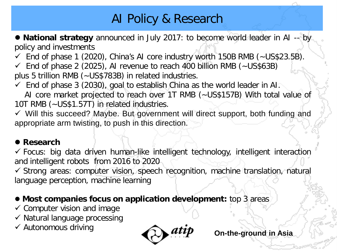### AI Policy & Research

**• National strategy** announced in July 2017: to become world leader in AI -- by policy and investments

 $\checkmark$  End of phase 1 (2020), China's AI core industry worth 150B RMB (~US\$23.5B).

 $\checkmark$  End of phase 2 (2025), AI revenue to reach 400 billion RMB (~US\$63B) plus 5 trillion RMB (~US\$783B) in related industries.

 $\checkmark$  End of phase 3 (2030), goal to establish China as the world leader in AH.

AI core market projected to reach over 1T RMB ( $\sim$  US\$157B) With total value of 10T RMB (~US\$1.57T) in related industries.

 $\checkmark$  Will this succeed? Maybe. But government will direct support, both funding and appropriate arm twisting, to push in this direction.

#### **Research**

 $\checkmark$  Focus: big data driven human-like intelligent technology, intelligent interaction and intelligent robots from 2016 to 2020

 $\checkmark$  Strong areas: computer vision, speech recognition, machine translation, natural language perception, machine learning

#### **• Most companies focus on application development:** top 3 areas

- $\checkmark$  Computer vision and image
- $\checkmark$  Natural language processing
- $\checkmark$  Autonomous driving

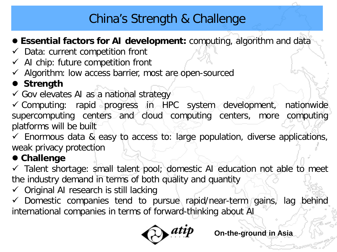### China's Strength & Challenge

#### **Essential factors for AI development:** computing, algorithm and data

- $\checkmark$  Data: current competition front
- $\checkmark$  AI chip: future competition front
- $\checkmark$  Algorithm: low access barrier, most are open-sourced

### **Strength**

 $\checkmark$  Gov elevates AI as a national strategy

 $\checkmark$  Computing: rapid progress in HPC system development, nationwides supercomputing centers and cloud computing centers, more computing platforms will be built

 $\checkmark$  Enormous data & easy to access to: large population, diverse applications, weak privacy protection

#### **Challenge**

 $\checkmark$  Talent shortage: small talent pool; domestic AI education not able to meet the industry demand in terms of both quality and quantity

 $\checkmark$  Original AI research is still lacking

 $\checkmark$  Domestic companies tend to pursue rapid/near-term gains, lag behind international companies in terms of forward-thinking about AI